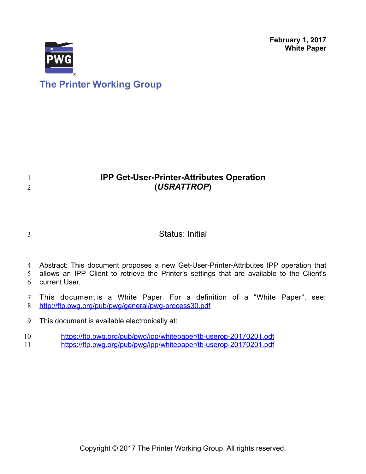**February 1, 2017 White Paper**



# **IPP Get-User-Printer-Attributes Operation (***USRATTROP***)**

3

1 2

## Status: Initial

4 Abstract: This document proposes a new Get-User-Printer-Attributes IPP operation that

allows an IPP Client to retrieve the Printer's settings that are available to the Client's current User. 5 6

This document is a White Paper. For a definition of a "White Paper", see: <http://ftp.pwg.org/pub/pwg/general/pwg-process30.pdf> 7 8

This document is available electronically at: 9

<https://ftp.pwg.org/pub/pwg/ipp/whitepaper/tb-userop-20170201.odt> 10

<https://ftp.pwg.org/pub/pwg/ipp/whitepaper/tb-userop-20170201.pdf> 11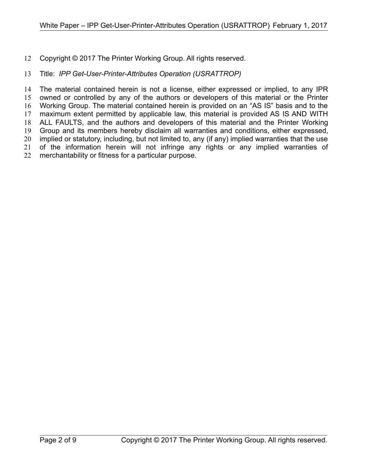#### Copyright © 2017 The Printer Working Group. All rights reserved. 12

#### Title: *IPP Get-User-Printer-Attributes Operation (USRATTROP)* 13

The material contained herein is not a license, either expressed or implied, to any IPR owned or controlled by any of the authors or developers of this material or the Printer Working Group. The material contained herein is provided on an "AS IS" basis and to the maximum extent permitted by applicable law, this material is provided AS IS AND WITH ALL FAULTS, and the authors and developers of this material and the Printer Working Group and its members hereby disclaim all warranties and conditions, either expressed, implied or statutory, including, but not limited to, any (if any) implied warranties that the use of the information herein will not infringe any rights or any implied warranties of merchantability or fitness for a particular purpose. 14 15 16 17 18 19 20 21 22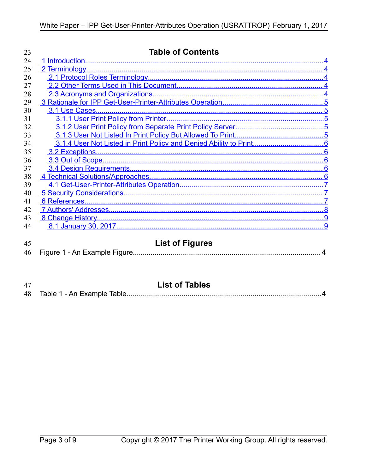| 23       | <b>Table of Contents</b>                                |  |
|----------|---------------------------------------------------------|--|
| 24       |                                                         |  |
| 25       |                                                         |  |
| 26       |                                                         |  |
| 27       |                                                         |  |
| 28       |                                                         |  |
| 29       |                                                         |  |
| 30       |                                                         |  |
| 31       |                                                         |  |
| 32       |                                                         |  |
| 33       |                                                         |  |
| 34       |                                                         |  |
| 35       |                                                         |  |
| 36       |                                                         |  |
| 37       |                                                         |  |
| 38       |                                                         |  |
| 39       |                                                         |  |
| 40       |                                                         |  |
| 41       |                                                         |  |
| 42       |                                                         |  |
| 43       |                                                         |  |
| 44       |                                                         |  |
| 45<br>46 | <b>List of Figures</b><br>Figure 1 - An Example Figure. |  |

<span id="page-2-0"></span>

| 47 | <b>List of Tables</b> |
|----|-----------------------|
|    |                       |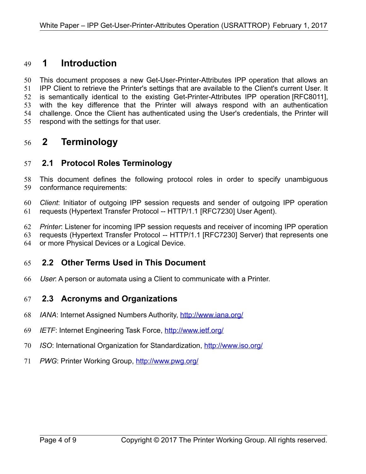## <span id="page-3-4"></span> **1 Introduction** 49

This document proposes a new Get-User-Printer-Attributes IPP operation that allows an IPP Client to retrieve the Printer's settings that are available to the Client's current User. It is semantically identical to the existing Get-Printer-Attributes IPP operation [\[RFC8011\],](#page-7-1) with the key difference that the Printer will always respond with an authentication challenge. Once the Client has authenticated using the User's credentials, the Printer will respond with the settings for that user. 50 51 52 53 54 55

## <span id="page-3-3"></span> **2 Terminology** 56

#### <span id="page-3-2"></span> **2.1 Protocol Roles Terminology** 57

This document defines the following protocol roles in order to specify unambiguous conformance requirements: 58 59

*Client*: Initiator of outgoing IPP session requests and sender of outgoing IPP operation requests (Hypertext Transfer Protocol -- HTTP/1.1 [\[RFC7230\]](#page-7-2) User Agent). 60 61

*Printer*: Listener for incoming IPP session requests and receiver of incoming IPP operation 62

requests (Hypertext Transfer Protocol -- HTTP/1.1 [\[RFC7230\]](#page-7-2) Server) that represents one or more Physical Devices or a Logical Device. 63 64

#### <span id="page-3-1"></span> **2.2 Other Terms Used in This Document** 65

User: A person or automata using a Client to communicate with a Printer. 66

#### <span id="page-3-0"></span> **2.3 Acronyms and Organizations** 67

- *IANA*: Internet Assigned Numbers Authority,<http://www.iana.org/> 68
- *IETF*: Internet Engineering Task Force,<http://www.ietf.org/> 69
- *ISO*: International Organization for Standardization,<http://www.iso.org/> 70
- PWG: Printer Working Group,<http://www.pwg.org/> 71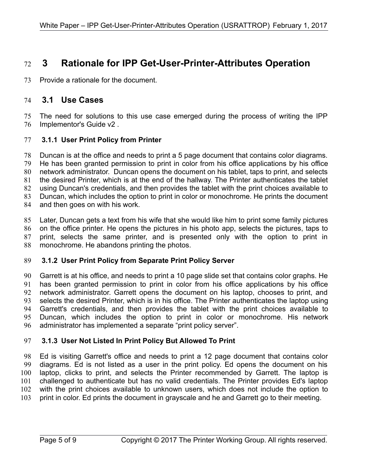## <span id="page-4-4"></span> **3 Rationale for IPP Get-User-Printer-Attributes Operation** 72

Provide a rationale for the document. 73

#### <span id="page-4-3"></span> **3.1 Use Cases** 74

The need for solutions to this use case emerged during the process of writing the IPP Implementor's Guide v2 . 75 76

#### <span id="page-4-2"></span> **3.1.1 User Print Policy from Printer** 77

Duncan is at the office and needs to print a 5 page document that contains color diagrams. He has been granted permission to print in color from his office applications by his office network administrator. Duncan opens the document on his tablet, taps to print, and selects the desired Printer, which is at the end of the hallway. The Printer authenticates the tablet using Duncan's credentials, and then provides the tablet with the print choices available to Duncan, which includes the option to print in color or monochrome. He prints the document and then goes on with his work. 78 79 80 81 82 83 84

Later, Duncan gets a text from his wife that she would like him to print some family pictures on the office printer. He opens the pictures in his photo app, selects the pictures, taps to print, selects the same printer, and is presented only with the option to print in monochrome. He abandons printing the photos. 85 86 87 88

#### <span id="page-4-1"></span> **3.1.2 User Print Policy from Separate Print Policy Server** 89

Garrett is at his office, and needs to print a 10 page slide set that contains color graphs. He has been granted permission to print in color from his office applications by his office network administrator. Garrett opens the document on his laptop, chooses to print, and selects the desired Printer, which is in his office. The Printer authenticates the laptop using Garrett's credentials, and then provides the tablet with the print choices available to Duncan, which includes the option to print in color or monochrome. His network administrator has implemented a separate "print policy server". 90 91 92 93 94 95 96

#### <span id="page-4-0"></span> **3.1.3 User Not Listed In Print Policy But Allowed To Print** 97

Ed is visiting Garrett's office and needs to print a 12 page document that contains color diagrams. Ed is not listed as a user in the print policy. Ed opens the document on his laptop, clicks to print, and selects the Printer recommended by Garrett. The laptop is challenged to authenticate but has no valid credentials. The Printer provides Ed's laptop with the print choices available to unknown users, which does not include the option to print in color. Ed prints the document in grayscale and he and Garrett go to their meeting. 98 99 100 101 102 103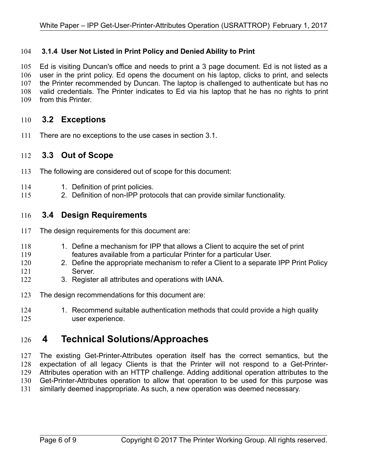#### <span id="page-5-4"></span> **3.1.4 User Not Listed in Print Policy and Denied Ability to Print** 104

Ed is visiting Duncan's office and needs to print a 3 page document. Ed is not listed as a user in the print policy. Ed opens the document on his laptop, clicks to print, and selects the Printer recommended by Duncan. The laptop is challenged to authenticate but has no valid credentials. The Printer indicates to Ed via his laptop that he has no rights to print from this Printer. 105 106 107 108 109

#### <span id="page-5-3"></span> **3.2 Exceptions** 110

There are no exceptions to the use cases in section [3.1.](#page-4-3) 111

#### <span id="page-5-2"></span> **3.3 Out of Scope** 112

- The following are considered out of scope for this document: 113
- 1. Definition of print policies. 114
- 2. Definition of non-IPP protocols that can provide similar functionality. 115

#### <span id="page-5-1"></span> **3.4 Design Requirements** 116

- The design requirements for this document are: 117
- 1. Define a mechanism for IPP that allows a Client to acquire the set of print features available from a particular Printer for a particular User. 118 119
- 2. Define the appropriate mechanism to refer a Client to a separate IPP Print Policy Server. 120 121
- 3. Register all attributes and operations with IANA. 122
- The design recommendations for this document are: 123
- 1. Recommend suitable authentication methods that could provide a high quality user experience. 124 125

## <span id="page-5-0"></span> **4 Technical Solutions/Approaches** 126

The existing Get-Printer-Attributes operation itself has the correct semantics, but the expectation of all legacy Clients is that the Printer will not respond to a Get-Printer-Attributes operation with an HTTP challenge. Adding additional operation attributes to the Get-Printer-Attributes operation to allow that operation to be used for this purpose was similarly deemed inappropriate. As such, a new operation was deemed necessary. 127 128 129 130 131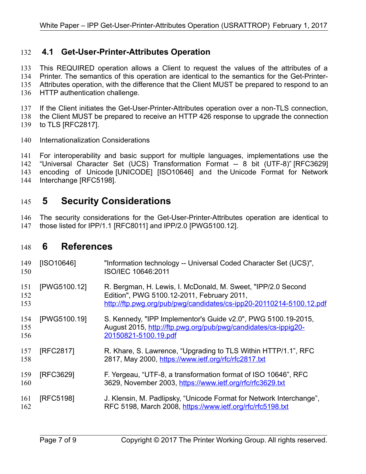### <span id="page-6-2"></span> **4.1 Get-User-Printer-Attributes Operation** 132

This REQUIRED operation allows a Client to request the values of the attributes of a Printer. The semantics of this operation are identical to the semantics for the Get-Printer-Attributes operation, with the difference that the Client MUST be prepared to respond to an HTTP authentication challenge. 133 134 135 136

If the Client initiates the Get-User-Printer-Attributes operation over a non-TLS connection, 137

the Client MUST be prepared to receive an HTTP 426 response to upgrade the connection 138

to TLS [\[RFC2817\].](#page-6-7) 139

Internationalization Considerations 140

For interoperability and basic support for multiple languages, implementations use the "Universal Character Set (UCS) Transformation Format -- 8 bit (UTF-8)" [\[RFC3629\]](#page-6-6) encoding of Unicode [\[UNICODE\]](#page-7-3) [\[ISO10646\]](#page-6-5) and the Unicode Format for Network Interchange [\[RFC5198\].](#page-6-4) 141 142 143 144

## <span id="page-6-1"></span> **5 Security Considerations** 145

The security considerations for the Get-User-Printer-Attributes operation are identical to those listed for IPP/1.1 [\[RFC8011\]](#page-7-1) and IPP/2.0 [\[PWG5100.12\].](#page-6-3) 146 147

## <span id="page-6-0"></span> **6 References** 148

<span id="page-6-7"></span><span id="page-6-6"></span><span id="page-6-5"></span><span id="page-6-4"></span><span id="page-6-3"></span>

| 149<br>150        | [ISO10646]   | "Information technology -- Universal Coded Character Set (UCS)",<br>ISO/IEC 10646:2011                                                                                            |
|-------------------|--------------|-----------------------------------------------------------------------------------------------------------------------------------------------------------------------------------|
| 151<br>152<br>153 | [PWG5100.12] | R. Bergman, H. Lewis, I. McDonald, M. Sweet, "IPP/2.0 Second<br>Edition", PWG 5100.12-2011, February 2011,<br>http://ftp.pwg.org/pub/pwg/candidates/cs-ipp20-20110214-5100.12.pdf |
| 154<br>155<br>156 | [PWG5100.19] | S. Kennedy, "IPP Implementor's Guide v2.0", PWG 5100.19-2015,<br>August 2015, http://ftp.pwg.org/pub/pwg/candidates/cs-ippig20-<br>20150821-5100.19.pdf                           |
| 157<br>158        | [RFC2817]    | R. Khare, S. Lawrence, "Upgrading to TLS Within HTTP/1.1", RFC<br>2817, May 2000, https://www.ietf.org/rfc/rfc2817.txt                                                            |
| 159<br>160        | [RFC3629]    | F. Yergeau, "UTF-8, a transformation format of ISO 10646", RFC<br>3629, November 2003, https://www.ietf.org/rfc/rfc3629.txt                                                       |
| 161<br>162        | [RFC5198]    | J. Klensin, M. Padlipsky, "Unicode Format for Network Interchange",<br>RFC 5198, March 2008, https://www.ietf.org/rfc/rfc5198.txt                                                 |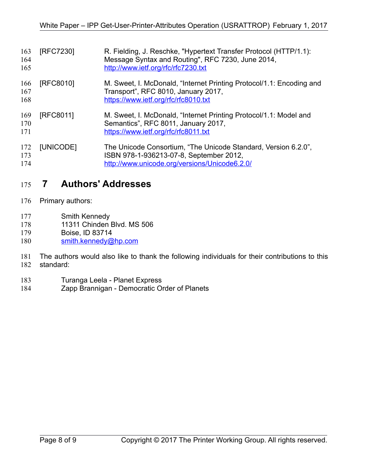<span id="page-7-2"></span><span id="page-7-1"></span>

| 163<br>164<br>165 | [RFC7230] | R. Fielding, J. Reschke, "Hypertext Transfer Protocol (HTTP/1.1):<br>Message Syntax and Routing", RFC 7230, June 2014,<br>http://www.ietf.org/rfc/rfc7230.txt |
|-------------------|-----------|---------------------------------------------------------------------------------------------------------------------------------------------------------------|
| 166<br>167<br>168 | [RFC8010] | M. Sweet, I. McDonald, "Internet Printing Protocol/1.1: Encoding and<br>Transport", RFC 8010, January 2017,<br>https://www.ietf.org/rfc/rfc8010.txt           |
| 169<br>170<br>171 | [RFC8011] | M. Sweet, I. McDonald, "Internet Printing Protocol/1.1: Model and<br>Semantics", RFC 8011, January 2017,<br>https://www.ietf.org/rfc/rfc8011.txt              |
| 172<br>173<br>174 | [UNICODE] | The Unicode Consortium, "The Unicode Standard, Version 6.2.0",<br>ISBN 978-1-936213-07-8, September 2012,<br>http://www.unicode.org/versions/Unicode6.2.0/    |

## <span id="page-7-3"></span><span id="page-7-0"></span> **7 Authors' Addresses** 175

- Primary authors: 176
- Smith Kennedy 177
- 11311 Chinden Blvd. MS 506 178
- Boise, ID 83714 179
- [smith.kennedy@hp.com](mailto:smith.kennedy@hp.com) 180
- The authors would also like to thank the following individuals for their contributions to this standard: 181 182
- Turanga Leela Planet Express 183
- Zapp Brannigan Democratic Order of Planets 184